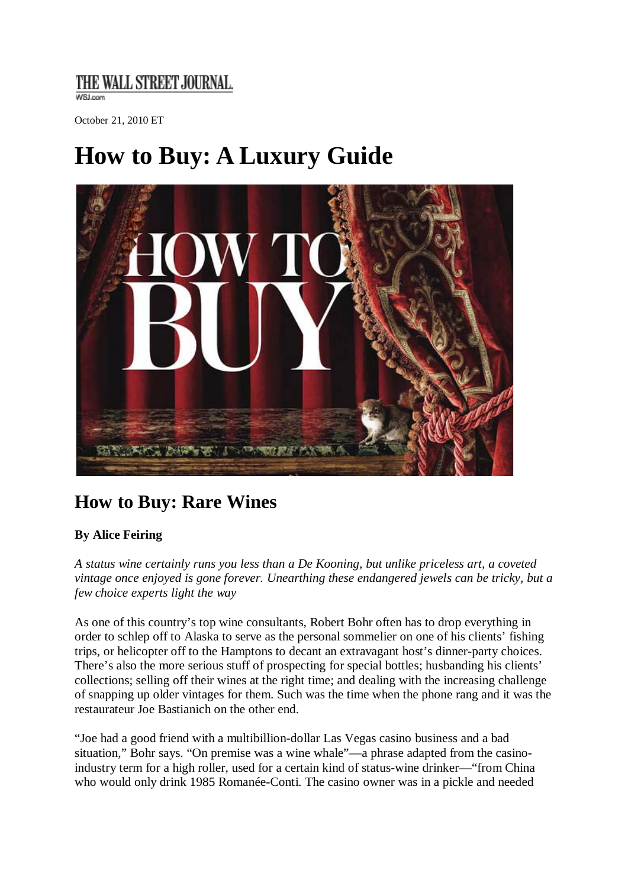### THE WALL STREET JOURNAL.

**WSLcom** 

October 21, 2010 ET

# **How to Buy: A Luxury Guide**



## **How to Buy: Rare Wines**

#### **By Alice Feiring**

*A status wine certainly runs you less than a De Kooning, but unlike priceless art, a coveted vintage once enjoyed is gone forever. Unearthing these endangered jewels can be tricky, but a few choice experts light the way*

As one of this country's top wine consultants, Robert Bohr often has to drop everything in order to schlep off to Alaska to serve as the personal sommelier on one of his clients' fishing trips, or helicopter off to the Hamptons to decant an extravagant host's dinner-party choices. There's also the more serious stuff of prospecting for special bottles; husbanding his clients' collections; selling off their wines at the right time; and dealing with the increasing challenge of snapping up older vintages for them. Such was the time when the phone rang and it was the restaurateur Joe Bastianich on the other end.

"Joe had a good friend with a multibillion-dollar Las Vegas casino business and a bad situation," Bohr says. "On premise was a wine whale"—a phrase adapted from the casinoindustry term for a high roller, used for a certain kind of status-wine drinker—"from China who would only drink 1985 Romanée-Conti. The casino owner was in a pickle and needed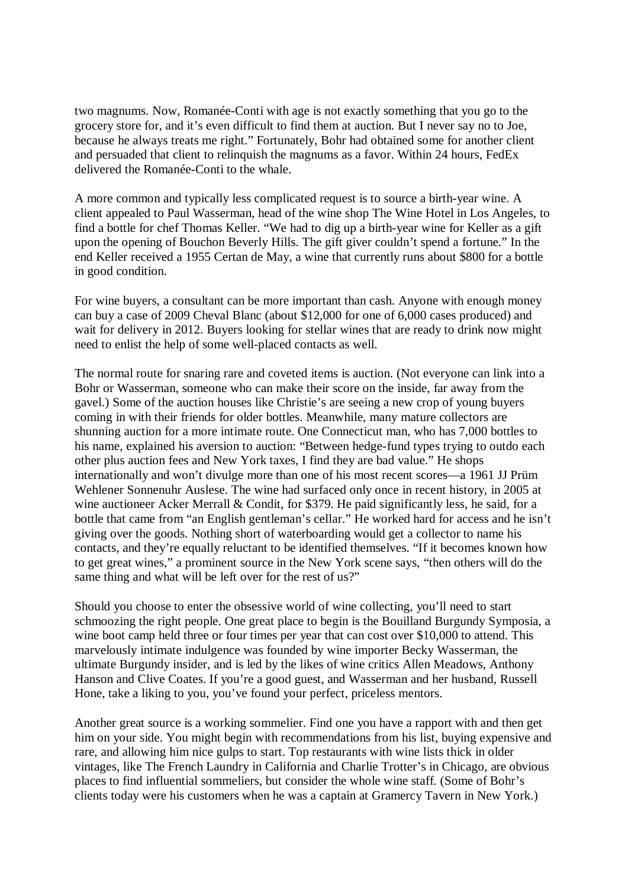two magnums. Now, Romanée-Conti with age is not exactly something that you go to the grocery store for, and it's even difficult to find them at auction. But I never say no to Joe, because he always treats me right." Fortunately, Bohr had obtained some for another client and persuaded that client to relinquish the magnums as a favor. Within 24 hours, FedEx delivered the Romanée-Conti to the whale.

A more common and typically less complicated request is to source a birth-year wine. A client appealed to Paul Wasserman, head of the wine shop The Wine Hotel in Los Angeles, to find a bottle for chef Thomas Keller. "We had to dig up a birth-year wine for Keller as a gift upon the opening of Bouchon Beverly Hills. The gift giver couldn't spend a fortune." In the end Keller received a 1955 Certan de May, a wine that currently runs about \$800 for a bottle in good condition.

For wine buyers, a consultant can be more important than cash. Anyone with enough money can buy a case of 2009 Cheval Blanc (about \$12,000 for one of 6,000 cases produced) and wait for delivery in 2012. Buyers looking for stellar wines that are ready to drink now might need to enlist the help of some well-placed contacts as well.

The normal route for snaring rare and coveted items is auction. (Not everyone can link into a Bohr or Wasserman, someone who can make their score on the inside, far away from the gavel.) Some of the auction houses like Christie's are seeing a new crop of young buyers coming in with their friends for older bottles. Meanwhile, many mature collectors are shunning auction for a more intimate route. One Connecticut man, who has 7,000 bottles to his name, explained his aversion to auction: "Between hedge-fund types trying to outdo each other plus auction fees and New York taxes, I find they are bad value." He shops internationally and won't divulge more than one of his most recent scores—a 1961 JJ Prüm Wehlener Sonnenuhr Auslese. The wine had surfaced only once in recent history, in 2005 at wine auctioneer Acker Merrall & Condit, for \$379. He paid significantly less, he said, for a bottle that came from "an English gentleman's cellar." He worked hard for access and he isn't giving over the goods. Nothing short of waterboarding would get a collector to name his contacts, and they're equally reluctant to be identified themselves. "If it becomes known how to get great wines," a prominent source in the New York scene says, "then others will do the same thing and what will be left over for the rest of us?"

Should you choose to enter the obsessive world of wine collecting, you'll need to start schmoozing the right people. One great place to begin is the Bouilland Burgundy Symposia, a wine boot camp held three or four times per year that can cost over \$10,000 to attend. This marvelously intimate indulgence was founded by wine importer Becky Wasserman, the ultimate Burgundy insider, and is led by the likes of wine critics Allen Meadows, Anthony Hanson and Clive Coates. If you're a good guest, and Wasserman and her husband, Russell Hone, take a liking to you, you've found your perfect, priceless mentors.

Another great source is a working sommelier. Find one you have a rapport with and then get him on your side. You might begin with recommendations from his list, buying expensive and rare, and allowing him nice gulps to start. Top restaurants with wine lists thick in older vintages, like The French Laundry in California and Charlie Trotter's in Chicago, are obvious places to find influential sommeliers, but consider the whole wine staff. (Some of Bohr's clients today were his customers when he was a captain at Gramercy Tavern in New York.)